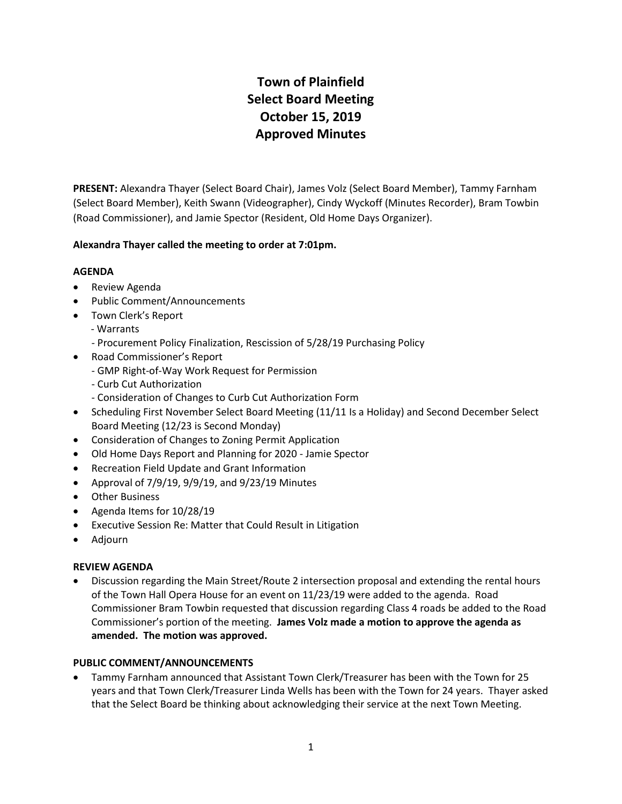# **Town of Plainfield Select Board Meeting October 15, 2019 Approved Minutes**

**PRESENT:** Alexandra Thayer (Select Board Chair), James Volz (Select Board Member), Tammy Farnham (Select Board Member), Keith Swann (Videographer), Cindy Wyckoff (Minutes Recorder), Bram Towbin (Road Commissioner), and Jamie Spector (Resident, Old Home Days Organizer).

# **Alexandra Thayer called the meeting to order at 7:01pm.**

## **AGENDA**

- Review Agenda
- Public Comment/Announcements
- Town Clerk's Report
	- Warrants
		- Procurement Policy Finalization, Rescission of 5/28/19 Purchasing Policy
- Road Commissioner's Report
	- GMP Right-of-Way Work Request for Permission
	- Curb Cut Authorization
	- Consideration of Changes to Curb Cut Authorization Form
- Scheduling First November Select Board Meeting (11/11 Is a Holiday) and Second December Select Board Meeting (12/23 is Second Monday)
- Consideration of Changes to Zoning Permit Application
- Old Home Days Report and Planning for 2020 Jamie Spector
- Recreation Field Update and Grant Information
- Approval of  $7/9/19$ ,  $9/9/19$ , and  $9/23/19$  Minutes
- Other Business
- Agenda Items for 10/28/19
- Executive Session Re: Matter that Could Result in Litigation
- Adjourn

#### **REVIEW AGENDA**

 Discussion regarding the Main Street/Route 2 intersection proposal and extending the rental hours of the Town Hall Opera House for an event on 11/23/19 were added to the agenda. Road Commissioner Bram Towbin requested that discussion regarding Class 4 roads be added to the Road Commissioner's portion of the meeting. **James Volz made a motion to approve the agenda as amended. The motion was approved.** 

#### **PUBLIC COMMENT/ANNOUNCEMENTS**

 Tammy Farnham announced that Assistant Town Clerk/Treasurer has been with the Town for 25 years and that Town Clerk/Treasurer Linda Wells has been with the Town for 24 years. Thayer asked that the Select Board be thinking about acknowledging their service at the next Town Meeting.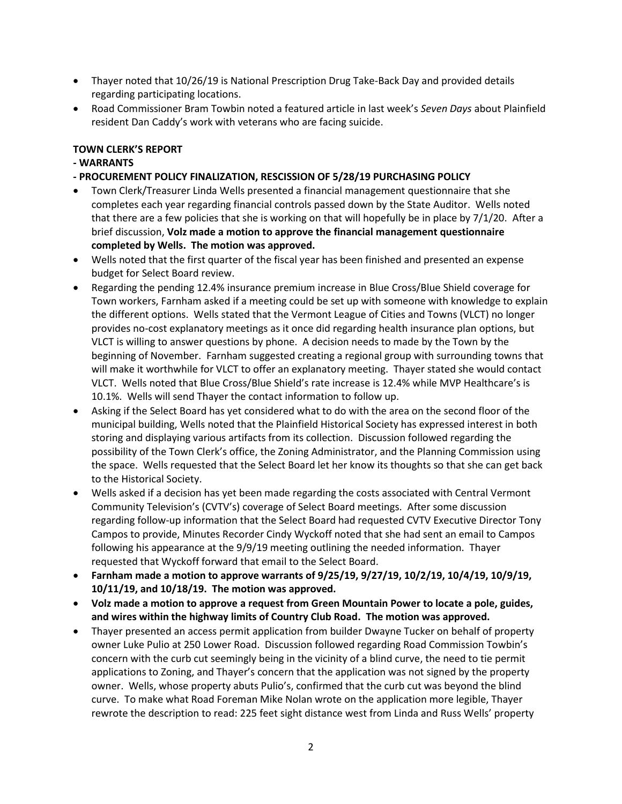- Thayer noted that 10/26/19 is National Prescription Drug Take-Back Day and provided details regarding participating locations.
- Road Commissioner Bram Towbin noted a featured article in last week's *Seven Days* about Plainfield resident Dan Caddy's work with veterans who are facing suicide.

### **TOWN CLERK'S REPORT**

# **- WARRANTS**

- **- PROCUREMENT POLICY FINALIZATION, RESCISSION OF 5/28/19 PURCHASING POLICY**
- Town Clerk/Treasurer Linda Wells presented a financial management questionnaire that she completes each year regarding financial controls passed down by the State Auditor. Wells noted that there are a few policies that she is working on that will hopefully be in place by 7/1/20. After a brief discussion, **Volz made a motion to approve the financial management questionnaire completed by Wells. The motion was approved.**
- Wells noted that the first quarter of the fiscal year has been finished and presented an expense budget for Select Board review.
- Regarding the pending 12.4% insurance premium increase in Blue Cross/Blue Shield coverage for Town workers, Farnham asked if a meeting could be set up with someone with knowledge to explain the different options. Wells stated that the Vermont League of Cities and Towns (VLCT) no longer provides no-cost explanatory meetings as it once did regarding health insurance plan options, but VLCT is willing to answer questions by phone. A decision needs to made by the Town by the beginning of November. Farnham suggested creating a regional group with surrounding towns that will make it worthwhile for VLCT to offer an explanatory meeting. Thayer stated she would contact VLCT. Wells noted that Blue Cross/Blue Shield's rate increase is 12.4% while MVP Healthcare's is 10.1%. Wells will send Thayer the contact information to follow up.
- Asking if the Select Board has yet considered what to do with the area on the second floor of the municipal building, Wells noted that the Plainfield Historical Society has expressed interest in both storing and displaying various artifacts from its collection. Discussion followed regarding the possibility of the Town Clerk's office, the Zoning Administrator, and the Planning Commission using the space. Wells requested that the Select Board let her know its thoughts so that she can get back to the Historical Society.
- Wells asked if a decision has yet been made regarding the costs associated with Central Vermont Community Television's (CVTV's) coverage of Select Board meetings. After some discussion regarding follow-up information that the Select Board had requested CVTV Executive Director Tony Campos to provide, Minutes Recorder Cindy Wyckoff noted that she had sent an email to Campos following his appearance at the 9/9/19 meeting outlining the needed information. Thayer requested that Wyckoff forward that email to the Select Board.
- **Farnham made a motion to approve warrants of 9/25/19, 9/27/19, 10/2/19, 10/4/19, 10/9/19, 10/11/19, and 10/18/19. The motion was approved.**
- **Volz made a motion to approve a request from Green Mountain Power to locate a pole, guides, and wires within the highway limits of Country Club Road. The motion was approved.**
- Thayer presented an access permit application from builder Dwayne Tucker on behalf of property owner Luke Pulio at 250 Lower Road. Discussion followed regarding Road Commission Towbin's concern with the curb cut seemingly being in the vicinity of a blind curve, the need to tie permit applications to Zoning, and Thayer's concern that the application was not signed by the property owner. Wells, whose property abuts Pulio's, confirmed that the curb cut was beyond the blind curve. To make what Road Foreman Mike Nolan wrote on the application more legible, Thayer rewrote the description to read: 225 feet sight distance west from Linda and Russ Wells' property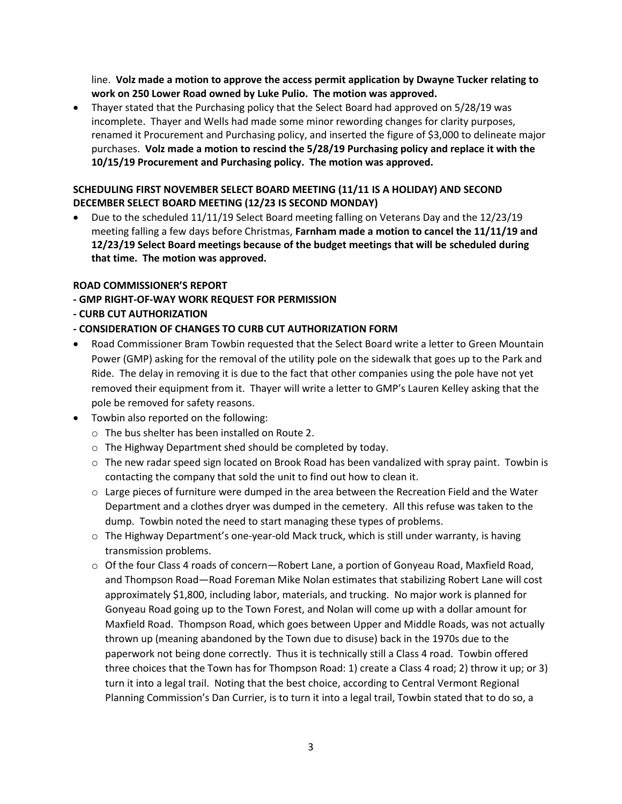line. **Volz made a motion to approve the access permit application by Dwayne Tucker relating to work on 250 Lower Road owned by Luke Pulio. The motion was approved.**

 Thayer stated that the Purchasing policy that the Select Board had approved on 5/28/19 was incomplete. Thayer and Wells had made some minor rewording changes for clarity purposes, renamed it Procurement and Purchasing policy, and inserted the figure of \$3,000 to delineate major purchases. **Volz made a motion to rescind the 5/28/19 Purchasing policy and replace it with the 10/15/19 Procurement and Purchasing policy. The motion was approved.**

# **SCHEDULING FIRST NOVEMBER SELECT BOARD MEETING (11/11 IS A HOLIDAY) AND SECOND DECEMBER SELECT BOARD MEETING (12/23 IS SECOND MONDAY)**

 Due to the scheduled 11/11/19 Select Board meeting falling on Veterans Day and the 12/23/19 meeting falling a few days before Christmas, **Farnham made a motion to cancel the 11/11/19 and 12/23/19 Select Board meetings because of the budget meetings that will be scheduled during that time. The motion was approved.** 

## **ROAD COMMISSIONER'S REPORT**

- **- GMP RIGHT-OF-WAY WORK REQUEST FOR PERMISSION**
- **- CURB CUT AUTHORIZATION**

## **- CONSIDERATION OF CHANGES TO CURB CUT AUTHORIZATION FORM**

- Road Commissioner Bram Towbin requested that the Select Board write a letter to Green Mountain Power (GMP) asking for the removal of the utility pole on the sidewalk that goes up to the Park and Ride. The delay in removing it is due to the fact that other companies using the pole have not yet removed their equipment from it. Thayer will write a letter to GMP's Lauren Kelley asking that the pole be removed for safety reasons.
- Towbin also reported on the following:
	- o The bus shelter has been installed on Route 2.
	- o The Highway Department shed should be completed by today.
	- $\circ$  The new radar speed sign located on Brook Road has been vandalized with spray paint. Towbin is contacting the company that sold the unit to find out how to clean it.
	- $\circ$  Large pieces of furniture were dumped in the area between the Recreation Field and the Water Department and a clothes dryer was dumped in the cemetery. All this refuse was taken to the dump. Towbin noted the need to start managing these types of problems.
	- o The Highway Department's one-year-old Mack truck, which is still under warranty, is having transmission problems.
	- $\circ$  Of the four Class 4 roads of concern—Robert Lane, a portion of Gonyeau Road, Maxfield Road, and Thompson Road—Road Foreman Mike Nolan estimates that stabilizing Robert Lane will cost approximately \$1,800, including labor, materials, and trucking. No major work is planned for Gonyeau Road going up to the Town Forest, and Nolan will come up with a dollar amount for Maxfield Road. Thompson Road, which goes between Upper and Middle Roads, was not actually thrown up (meaning abandoned by the Town due to disuse) back in the 1970s due to the paperwork not being done correctly. Thus it is technically still a Class 4 road. Towbin offered three choices that the Town has for Thompson Road: 1) create a Class 4 road; 2) throw it up; or 3) turn it into a legal trail. Noting that the best choice, according to Central Vermont Regional Planning Commission's Dan Currier, is to turn it into a legal trail, Towbin stated that to do so, a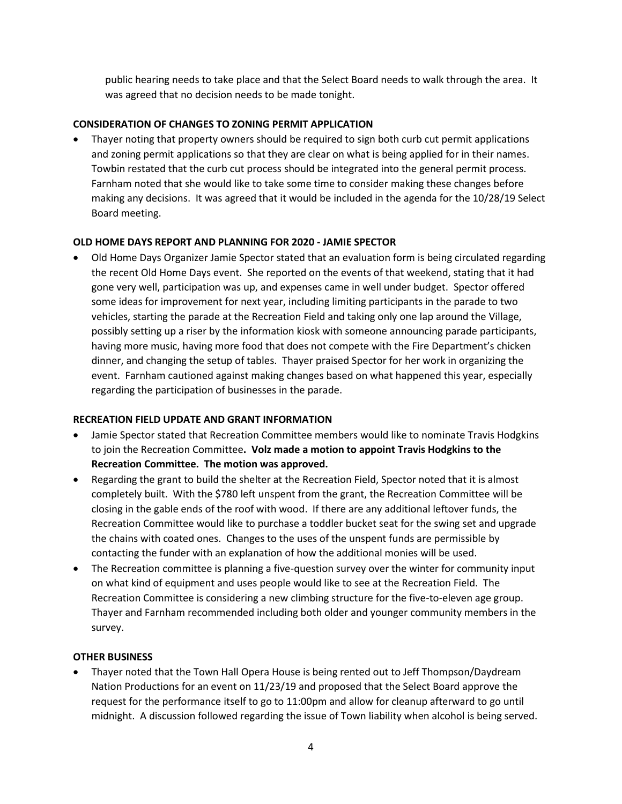public hearing needs to take place and that the Select Board needs to walk through the area. It was agreed that no decision needs to be made tonight.

## **CONSIDERATION OF CHANGES TO ZONING PERMIT APPLICATION**

 Thayer noting that property owners should be required to sign both curb cut permit applications and zoning permit applications so that they are clear on what is being applied for in their names. Towbin restated that the curb cut process should be integrated into the general permit process. Farnham noted that she would like to take some time to consider making these changes before making any decisions. It was agreed that it would be included in the agenda for the 10/28/19 Select Board meeting.

#### **OLD HOME DAYS REPORT AND PLANNING FOR 2020 - JAMIE SPECTOR**

 Old Home Days Organizer Jamie Spector stated that an evaluation form is being circulated regarding the recent Old Home Days event. She reported on the events of that weekend, stating that it had gone very well, participation was up, and expenses came in well under budget. Spector offered some ideas for improvement for next year, including limiting participants in the parade to two vehicles, starting the parade at the Recreation Field and taking only one lap around the Village, possibly setting up a riser by the information kiosk with someone announcing parade participants, having more music, having more food that does not compete with the Fire Department's chicken dinner, and changing the setup of tables. Thayer praised Spector for her work in organizing the event. Farnham cautioned against making changes based on what happened this year, especially regarding the participation of businesses in the parade.

## **RECREATION FIELD UPDATE AND GRANT INFORMATION**

- Jamie Spector stated that Recreation Committee members would like to nominate Travis Hodgkins to join the Recreation Committee**. Volz made a motion to appoint Travis Hodgkins to the Recreation Committee. The motion was approved.**
- Regarding the grant to build the shelter at the Recreation Field, Spector noted that it is almost completely built. With the \$780 left unspent from the grant, the Recreation Committee will be closing in the gable ends of the roof with wood. If there are any additional leftover funds, the Recreation Committee would like to purchase a toddler bucket seat for the swing set and upgrade the chains with coated ones. Changes to the uses of the unspent funds are permissible by contacting the funder with an explanation of how the additional monies will be used.
- The Recreation committee is planning a five-question survey over the winter for community input on what kind of equipment and uses people would like to see at the Recreation Field. The Recreation Committee is considering a new climbing structure for the five-to-eleven age group. Thayer and Farnham recommended including both older and younger community members in the survey.

#### **OTHER BUSINESS**

 Thayer noted that the Town Hall Opera House is being rented out to Jeff Thompson/Daydream Nation Productions for an event on 11/23/19 and proposed that the Select Board approve the request for the performance itself to go to 11:00pm and allow for cleanup afterward to go until midnight. A discussion followed regarding the issue of Town liability when alcohol is being served.